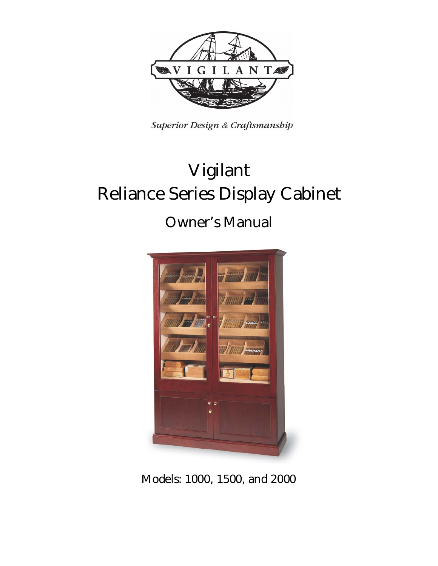

Superior Design & Craftsmanship

# **Vigilant Reliance Series Display Cabinet**

## **Owner's Manual**



**Models: 1000, 1500, and 2000**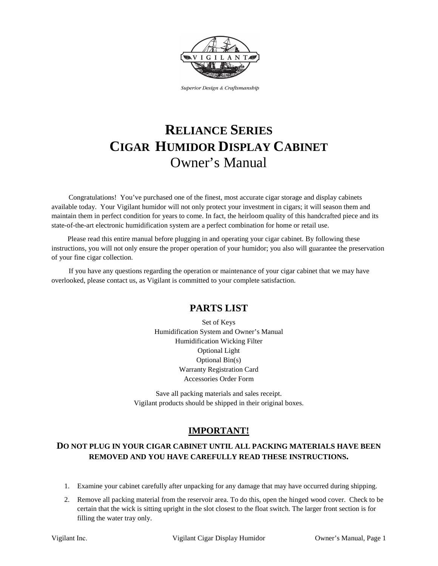

Superior Design & Craftsmanship

## **RELIANCE SERIES CIGAR HUMIDOR DISPLAY CABINET** Owner's Manual

Congratulations! You've purchased one of the finest, most accurate cigar storage and display cabinets available today. Your Vigilant humidor will not only protect your investment in cigars; it will season them and maintain them in perfect condition for years to come. In fact, the heirloom quality of this handcrafted piece and its state-of-the-art electronic humidification system are a perfect combination for home or retail use.

Please read this entire manual before plugging in and operating your cigar cabinet. By following these instructions, you will not only ensure the proper operation of your humidor; you also will guarantee the preservation of your fine cigar collection.

If you have any questions regarding the operation or maintenance of your cigar cabinet that we may have overlooked, please contact us, as Vigilant is committed to your complete satisfaction.

## **PARTS LIST**

Set of Keys Humidification System and Owner's Manual Humidification Wicking Filter Optional Light Optional Bin(s) Warranty Registration Card Accessories Order Form

Save all packing materials and sales receipt. Vigilant products should be shipped in their original boxes.

## **IMPORTANT!**

#### **DO NOT PLUG IN YOUR CIGAR CABINET UNTIL ALL PACKING MATERIALS HAVE BEEN REMOVED AND YOU HAVE CAREFULLY READ THESE INSTRUCTIONS.**

- 1. Examine your cabinet carefully after unpacking for any damage that may have occurred during shipping.
- 2. Remove all packing material from the reservoir area. To do this, open the hinged wood cover. Check to be certain that the wick is sitting upright in the slot closest to the float switch. The larger front section is for filling the water tray only.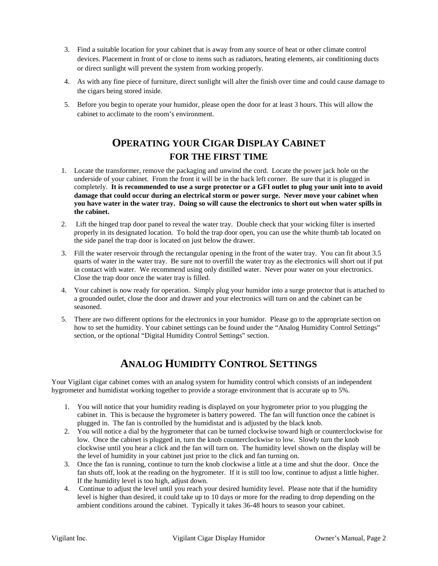- 3. Find a suitable location for your cabinet that is away from any source of heat or other climate control devices. Placement in front of or close to items such as radiators, heating elements, air conditioning ducts or direct sunlight will prevent the system from working properly.
- 4. As with any fine piece of furniture, direct sunlight will alter the finish over time and could cause damage to the cigars being stored inside.
- 5. Before you begin to operate your humidor, please open the door for at least 3 hours. This will allow the cabinet to acclimate to the room's environment.

## **OPERATING YOUR CIGAR DISPLAY CABINET FOR THE FIRST TIME**

- 1. Locate the transformer, remove the packaging and unwind the cord. Locate the power jack hole on the underside of your cabinet. From the front it will be in the back left corner. Be sure that it is plugged in completely. **It is recommended to use a surge protector or a GFI outlet to plug your unit into to avoid damage that could occur during an electrical storm or power surge. Never move your cabinet when you have water in the water tray. Doing so will cause the electronics to short out when water spills in the cabinet.**
- 2. Lift the hinged trap door panel to reveal the water tray. Double check that your wicking filter is inserted properly in its designated location. To hold the trap door open, you can use the white thumb tab located on the side panel the trap door is located on just below the drawer.
- 3. Fill the water reservoir through the rectangular opening in the front of the water tray. You can fit about 3.5 quarts of water in the water tray. Be sure not to overfill the water tray as the electronics will short out if put in contact with water. We recommend using only distilled water. Never pour water on your electronics. Close the trap door once the water tray is filled.
- 4. Your cabinet is now ready for operation. Simply plug your humidor into a surge protector that is attached to a grounded outlet, close the door and drawer and your electronics will turn on and the cabinet can be seasoned.
- 5. There are two different options for the electronics in your humidor. Please go to the appropriate section on how to set the humidity. Your cabinet settings can be found under the "Analog Humidity Control Settings" section, or the optional "Digital Humidity Control Settings" section.

## **ANALOG HUMIDITY CONTROL SETTINGS**

Your Vigilant cigar cabinet comes with an analog system for humidity control which consists of an independent hygrometer and humidistat working together to provide a storage environment that is accurate up to 5%.

- 1. You will notice that your humidity reading is displayed on your hygrometer prior to you plugging the cabinet in. This is because the hygrometer is battery powered. The fan will function once the cabinet is plugged in. The fan is controlled by the humidistat and is adjusted by the black knob.
- 2. You will notice a dial by the hygrometer that can be turned clockwise toward high or counterclockwise for low. Once the cabinet is plugged in, turn the knob counterclockwise to low. Slowly turn the knob clockwise until you hear a click and the fan will turn on. The humidity level shown on the display will be the level of humidity in your cabinet just prior to the click and fan turning on.
- 3. Once the fan is running, continue to turn the knob clockwise a little at a time and shut the door. Once the fan shuts off, look at the reading on the hygrometer. If it is still too low, continue to adjust a little higher. If the humidity level is too high, adjust down.
- 4. Continue to adjust the level until you reach your desired humidity level. Please note that if the humidity level is higher than desired, it could take up to 10 days or more for the reading to drop depending on the ambient conditions around the cabinet. Typically it takes 36-48 hours to season your cabinet.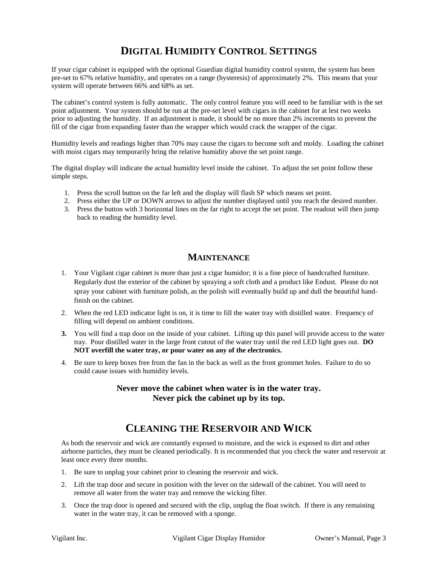## **DIGITAL HUMIDITY CONTROL SETTINGS**

If your cigar cabinet is equipped with the optional Guardian digital humidity control system, the system has been pre-set to 67% relative humidity, and operates on a range (hysteresis) of approximately 2%. This means that your system will operate between 66% and 68% as set.

The cabinet's control system is fully automatic. The only control feature you will need to be familiar with is the set point adjustment. Your system should be run at the pre-set level with cigars in the cabinet for at lest two weeks prior to adjusting the humidity. If an adjustment is made, it should be no more than 2% increments to prevent the fill of the cigar from expanding faster than the wrapper which would crack the wrapper of the cigar.

Humidity levels and readings higher than 70% may cause the cigars to become soft and moldy. Loading the cabinet with moist cigars may temporarily bring the relative humidity above the set point range.

The digital display will indicate the actual humidity level inside the cabinet. To adjust the set point follow these simple steps.

- 1. Press the scroll button on the far left and the display will flash SP which means set point.
- 2. Press either the UP or DOWN arrows to adjust the number displayed until you reach the desired number.
- 3. Press the button with 3 horizontal lines on the far right to accept the set point. The readout will then jump back to reading the humidity level.

#### **MAINTENANCE**

- 1. Your Vigilant cigar cabinet is more than just a cigar humidor; it is a fine piece of handcrafted furniture. Regularly dust the exterior of the cabinet by spraying a soft cloth and a product like Endust. Please do not spray your cabinet with furniture polish, as the polish will eventually build up and dull the beautiful handfinish on the cabinet.
- 2. When the red LED indicator light is on, it is time to fill the water tray with distilled water. Frequency of filling will depend on ambient conditions.
- **3.** You will find a trap door on the inside of your cabinet. Lifting up this panel will provide access to the water tray. Pour distilled water in the large front cutout of the water tray until the red LED light goes out. **DO NOT overfill the water tray, or pour water on any of the electronics.**
- 4. Be sure to keep boxes free from the fan in the back as well as the front grommet holes. Failure to do so could cause issues with humidity levels.

#### **Never move the cabinet when water is in the water tray. Never pick the cabinet up by its top.**

## **CLEANING THE RESERVOIR AND WICK**

As both the reservoir and wick are constantly exposed to moisture, and the wick is exposed to dirt and other airborne particles, they must be cleaned periodically. It is recommended that you check the water and reservoir at least once every three months.

- 1. Be sure to unplug your cabinet prior to cleaning the reservoir and wick.
- 2. Lift the trap door and secure in position with the lever on the sidewall of the cabinet. You will need to remove all water from the water tray and remove the wicking filter.
- 3. Once the trap door is opened and secured with the clip, unplug the float switch. If there is any remaining water in the water tray, it can be removed with a sponge.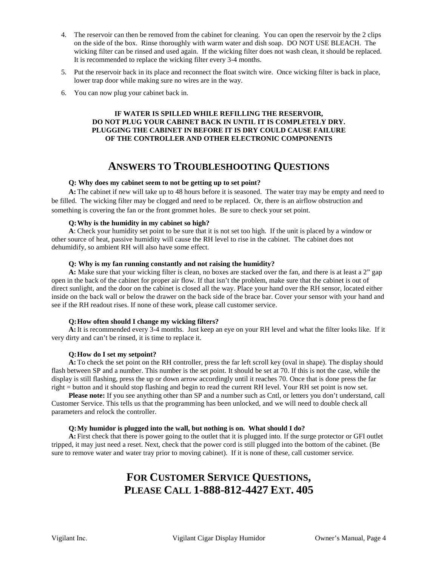- 4. The reservoir can then be removed from the cabinet for cleaning. You can open the reservoir by the 2 clips on the side of the box. Rinse thoroughly with warm water and dish soap. DO NOT USE BLEACH. The wicking filter can be rinsed and used again. If the wicking filter does not wash clean, it should be replaced. It is recommended to replace the wicking filter every 3-4 months.
- 5. Put the reservoir back in its place and reconnect the float switch wire. Once wicking filter is back in place, lower trap door while making sure no wires are in the way.
- 6. You can now plug your cabinet back in.

#### **IF WATER IS SPILLED WHILE REFILLING THE RESERVOIR, DO NOT PLUG YOUR CABINET BACK IN UNTIL IT IS COMPLETELY DRY. PLUGGING THE CABINET IN BEFORE IT IS DRY COULD CAUSE FAILURE OF THE CONTROLLER AND OTHER ELECTRONIC COMPONENTS**

## **ANSWERS TO TROUBLESHOOTING QUESTIONS**

#### **Q: Why does my cabinet seem to not be getting up to set point?**

**A:**The cabinet if new will take up to 48 hours before it is seasoned. The water tray may be empty and need to be filled. The wicking filter may be clogged and need to be replaced. Or, there is an airflow obstruction and something is covering the fan or the front grommet holes. Be sure to check your set point.

#### **Q: Why is the humidity in my cabinet so high?**

**A**: Check your humidity set point to be sure that it is not set too high. If the unit is placed by a window or other source of heat, passive humidity will cause the RH level to rise in the cabinet. The cabinet does not dehumidify, so ambient RH will also have some effect.

#### **Q: Why is my fan running constantly and not raising the humidity?**

**A:** Make sure that your wicking filter is clean, no boxes are stacked over the fan, and there is at least a 2" gap open in the back of the cabinet for proper air flow. If that isn't the problem, make sure that the cabinet is out of direct sunlight, and the door on the cabinet is closed all the way. Place your hand over the RH sensor, located either inside on the back wall or below the drawer on the back side of the brace bar. Cover your sensor with your hand and see if the RH readout rises. If none of these work, please call customer service.

#### **Q:How often should I change my wicking filters?**

**A:**It is recommended every 3-4 months. Just keep an eye on your RH level and what the filter looks like. If it very dirty and can't be rinsed, it is time to replace it.

#### **Q:How do I set my setpoint?**

**A:**To check the set point on the RH controller, press the far left scroll key (oval in shape). The display should flash between SP and a number. This number is the set point. It should be set at 70. If this is not the case, while the display is still flashing, press the up or down arrow accordingly until it reaches 70. Once that is done press the far right = button and it should stop flashing and begin to read the current RH level. Your RH set point is now set.

**Please note:** If you see anything other than SP and a number such as Cntl, or letters you don't understand, call Customer Service. This tells us that the programming has been unlocked, and we will need to double check all parameters and relock the controller.

#### **Q:My humidor is plugged into the wall, but nothing is on. What should I do?**

**A:** First check that there is power going to the outlet that it is plugged into. If the surge protector or GFI outlet tripped, it may just need a reset. Next, check that the power cord is still plugged into the bottom of the cabinet. (Be sure to remove water and water tray prior to moving cabinet). If it is none of these, call customer service.

## **FOR CUSTOMER SERVICE QUESTIONS, PLEASE CALL 1-888-812-4427 EXT. 405**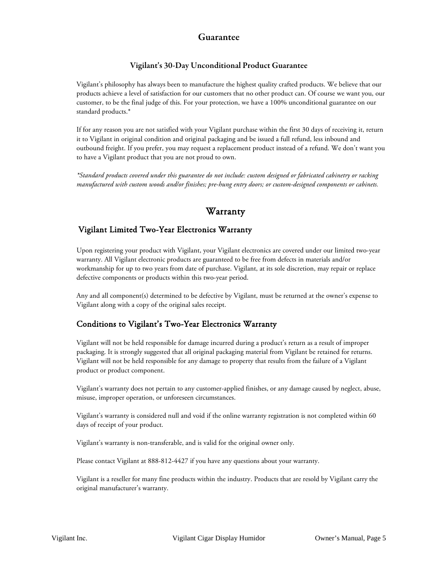#### Guarantee

#### Vigilant's 30-Day Unconditional Product Guarantee

Vigilant's philosophy has always been to manufacture the highest quality crafted products. We believe that our products achieve a level of satisfaction for our customers that no other product can. Of course we want you, our customer, to be the final judge of this. For your protection, we have a 100% unconditional guarantee on our standard products.\*

If for any reason you are not satisfied with your Vigilant purchase within the first 30 days of receiving it, return it to Vigilant in original condition and original packaging and be issued a full refund, less inbound and outbound freight. If you prefer, you may request a replacement product instead of a refund. We don't want you to have a Vigilant product that you are not proud to own.

*\*Standard products covered under this guarantee do not include: custom designed or fabricated cabinetry or racking manufactured with custom woods and/or finishes; pre-hung entry doors; or custom-designed components or cabinets.*

## Warranty

#### Vigilant Limited Two-Year Electronics Warranty

Upon registering your product with Vigilant, your Vigilant electronics are covered under our limited two-year warranty. All Vigilant electronic products are guaranteed to be free from defects in materials and/or workmanship for up to two years from date of purchase. Vigilant, at its sole discretion, may repair or replace defective components or products within this two-year period.

Any and all component(s) determined to be defective by Vigilant, must be returned at the owner's expense to Vigilant along with a copy of the original sales receipt.

#### Conditions to Vigilant's Two-Year Electronics Warranty

Vigilant will not be held responsible for damage incurred during a product's return as a result of improper packaging. It is strongly suggested that all original packaging material from Vigilant be retained for returns. Vigilant will not be held responsible for any damage to property that results from the failure of a Vigilant product or product component.

Vigilant's warranty does not pertain to any customer-applied finishes, or any damage caused by neglect, abuse, misuse, improper operation, or unforeseen circumstances.

Vigilant's warranty is considered null and void if the online warranty registration is not completed within 60 days of receipt of your product.

Vigilant's warranty is non-transferable, and is valid for the original owner only.

Please contact Vigilant at 888-812-4427 if you have any questions about your warranty.

Vigilant is a reseller for many fine products within the industry. Products that are resold by Vigilant carry the original manufacturer's warranty.